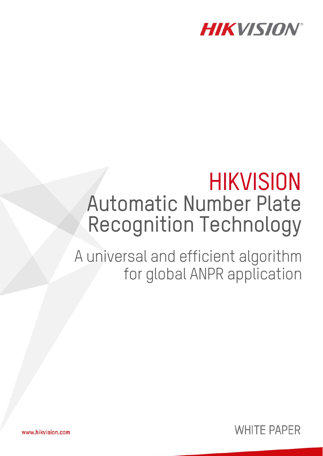

# **HIKVISION** Automatic Number Plate Recognition Technology

A universal and efficient algorithm for global ANPR application



www.hikvision.com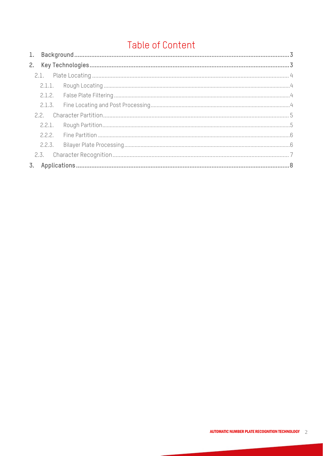## **Table of Content**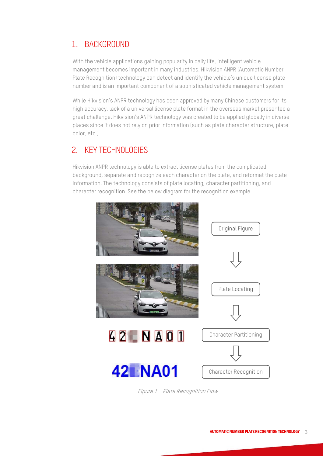## 1. BACKGROUND

With the vehicle applications gaining popularity in daily life, intelligent vehicle management becomes important in many industries. Hikvision ANPR (Automatic Number Plate Recognition) technology can detect and identify the vehicle's unique license plate number and is an important component of a sophisticated vehicle management system.

While Hikvision's ANPR technology has been approved by many Chinese customers for its high accuracy, lack of a universal license plate format in the overseas market presented a great challenge. Hikvision's ANPR technology was created to be applied globally in diverse places since it does not rely on prior information (such as plate character structure, plate color, etc.).

## 2. KEY TECHNOLOGIES

Hikvision ANPR technology is able to extract license plates from the complicated background, separate and recognize each character on the plate, and reformat the plate information. The technology consists of plate locating, character partitioning, and character recognition. See the below diagram for the recognition example.



Figure 1 Plate Recognition Flow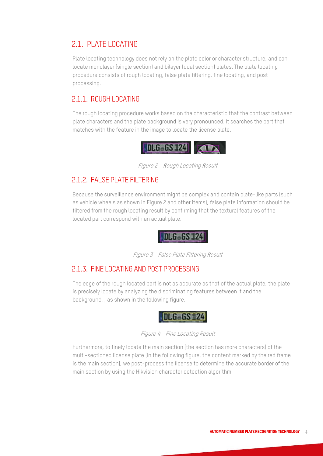### 2.1. PLATE LOCATING

Plate locating technology does not rely on the plate color or character structure, and can locate monolayer (single section) and bilayer (dual section) plates. The plate locating procedure consists of rough locating, false plate filtering, fine locating, and post processing.

#### 2.1.1. ROUGH LOCATING

The rough locating procedure works based on the characteristic that the contrast between plate characters and the plate background is very pronounced. It searches the part that matches with the feature in the image to locate the license plate.



Figure 2 Rough Locating Result

#### 2.1.2. FALSE PLATE FILTERING

Because the surveillance environment might be complex and contain plate-like parts (such as vehicle wheels as shown in Figure 2 and other items), false plate information should be filtered from the rough locating result by confirming that the textural features of the located part correspond with an actual plate.

**JDLG-GS-124** 

Figure 3 False Plate Filtering Result

#### 2.1.3. FINE LOCATING AND POST PROCESSING

The edge of the rough located part is not as accurate as that of the actual plate, the plate is precisely locate by analyzing the discriminating features between it and the background, , as shown in the following figure.



Figure 4 Fine Locating Result

Furthermore, to finely locate the main section (the section has more characters) of the multi-sectioned license plate (in the following figure, the content marked by the red frame is the main section), we post-process the license to determine the accurate border of the main section by using the Hikvision character detection algorithm.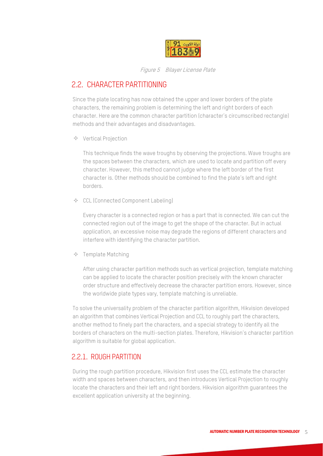

Figure 5 Bilayer License Plate

## 2.2. CHARACTER PARTITIONING

Since the plate locating has now obtained the upper and lower borders of the plate characters, the remaining problem is determining the left and right borders of each character. Here are the common character partition (character's circumscribed rectangle) methods and their advantages and disadvantages.

 $\Diamond$  Vertical Projection

This technique finds the wave troughs by observing the projections. Wave troughs are the spaces between the characters, which are used to locate and partition off every character. However, this method cannot judge where the left border of the first character is. Other methods should be combined to find the plate's left and right borders.

 $\triangle$  CCL (Connected Component Labeling)

Every character is a connected region or has a part that is connected. We can cut the connected region out of the image to get the shape of the character. But in actual application, an excessive noise may degrade the regions of different characters and interfere with identifying the character partition.

 $\Diamond$  Template Matching

After using character partition methods such as vertical projection, template matching can be applied to locate the character position precisely with the known character order structure and effectively decrease the character partition errors. However, since the worldwide plate types vary, template matching is unreliable.

To solve the universality problem of the character partition algorithm, Hikvision developed an algorithm that combines Vertical Projection and CCL to roughly part the characters, another method to finely part the characters, and a special strategy to identify all the borders of characters on the multi-section plates. Therefore, Hikvision's character partition algorithm is suitable for global application.

#### 2.2.1. ROUGH PARTITION

During the rough partition procedure, Hikvision first uses the CCL estimate the character width and spaces between characters, and then introduces Vertical Projection to roughly locate the characters and their left and right borders. Hikvision algorithm guarantees the excellent application university at the beginning.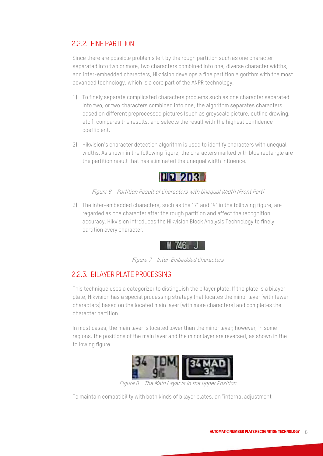#### 2.2.2. FINE PARTITION

Since there are possible problems left by the rough partition such as one character separated into two or more, two characters combined into one, diverse character widths, and inter-embedded characters, Hikvision develops a fine partition algorithm with the most advanced technology, which is a core part of the ANPR technology.

- 1) To finely separate complicated characters problems such as one character separated into two, or two characters combined into one, the algorithm separates characters based on different preprocessed pictures (such as greyscale picture, outline drawing, etc.), compares the results, and selects the result with the highest confidence coefficient.
- 2) Hikvision's character detection algorithm is used to identify characters with unequal widths. As shown in the following figure, the characters marked with blue rectangle are the partition result that has eliminated the unequal width influence.



Figure 6 Partition Result of Characters with Unequal Width (Front Part)

3) The inter-embedded characters, such as the "7" and "4" in the following figure, are regarded as one character after the rough partition and affect the recognition accuracy. Hikvision introduces the Hikvision Block Analysis Technology to finely partition every character.



Figure 7 Inter-Embedded Characters

#### 2.2.3. BILAYER PLATE PROCESSING

This technique uses a categorizer to distinguish the bilayer plate. If the plate is a bilayer plate, Hikvision has a special processing strategy that locates the minor layer (with fewer characters) based on the located main layer (with more characters) and completes the character partition.

In most cases, the main layer is located lower than the minor layer; however, in some regions, the positions of the main layer and the minor layer are reversed, as shown in the following figure.



Figure 8 The Main Layer is in the Upper Position

To maintain compatibility with both kinds of bilayer plates, an "internal adjustment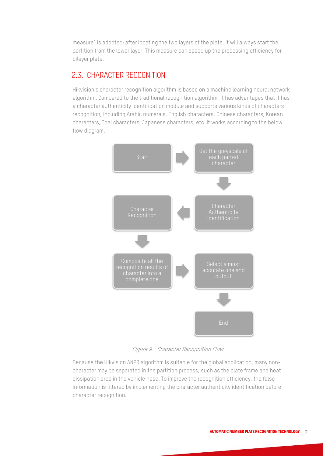measure" is adopted: after locating the two layers of the plate, it will always start the partition from the lower layer. This measure can speed up the processing efficiency for bilayer plate.

#### 2.3. CHARACTER RECOGNITION

Hikvision's character recognition algorithm is based on a machine learning neural network algorithm. Compared to the traditional recognition algorithm, it has advantages that it has a character authenticity identification module and supports various kinds of characters recognition, including Arabic numerals, English characters, Chinese characters, Korean characters, Thai characters, Japanese characters, etc. It works according to the below flow diagram.



Figure 9 Character Recognition Flow

Because the Hikvision ANPR algorithm is suitable for the global application, many noncharacter may be separated in the partition process, such as the plate frame and heat dissipation area in the vehicle nose. To improve the recognition efficiency, the false information is filtered by implementing the character authenticity identification before character recognition.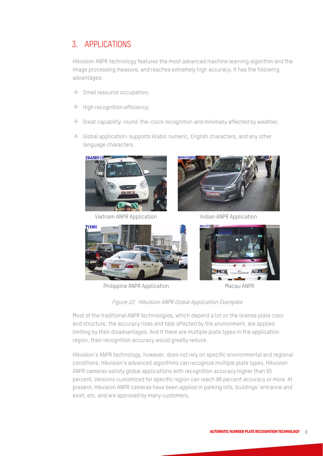## 3. APPLICATIONS

Hikvision ANPR technology features the most advanced machine learning algorithm and the image processing measure, and reaches extremely high accuracy. It has the following advantages:

- $\triangle$  Small resource occupation;
- $\triangle$  High recognition efficiency;
- $\Diamond$  Great capability: round-the-clock recognition and minimally affected by weather;
- $\Diamond$  Global application: supports Arabic numeric, English characters, and any other language characters.





Vietnam ANPR Application Indian ANPR Application



Philippine ANPR Application Macau ANPR



Figure 10 Hikvision ANPR Global Application Examples

Most of the traditional ANPR technologies, which depend a lot on the license plate color and structure, the accuracy rises and falls affected by the environment, are applied limiting by their disadvantages. And if there are multiple plate types in the application region, their recognition accuracy would greatly reduce.

Hikvision's ANPR technology, however, does not rely on specific environmental and regional conditions. Hikvision's advanced algorithms can recognize multiple plate types. Hikvision ANPR cameras satisfy global applications with recognition accuracy higher than 95 percent. Versions customized for specific region can reach 98 percent accuracy or more. At present, Hikvision ANPR cameras have been applied in parking lots, buildings' entrance and exist, etc. and are approved by many customers.